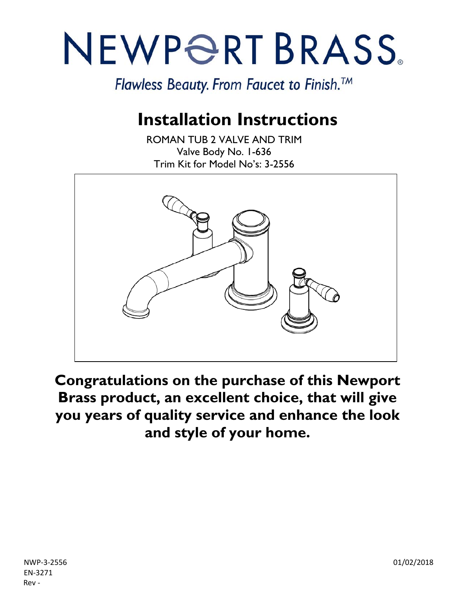# NEWPORT BRASS.

Flawless Beauty. From Faucet to Finish.<sup>™</sup>

## **Installation Instructions**

ROMAN TUB 2 VALVE AND TRIM Valve Body No. 1-636 Trim Kit for Model No's: 3-2556



**Congratulations on the purchase of this Newport Brass product, an excellent choice, that will give you years of quality service and enhance the look and style of your home.**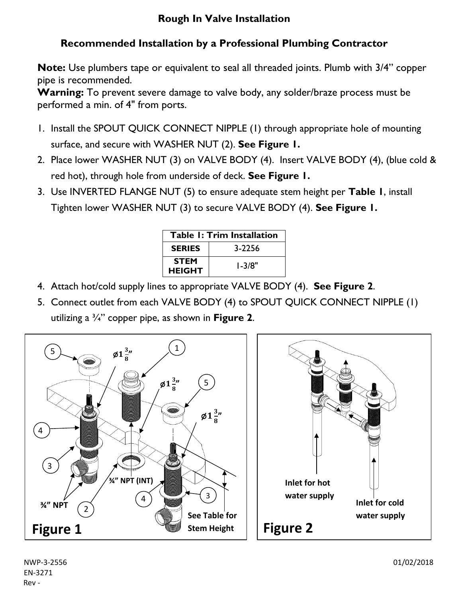#### **Rough In Valve Installation**

#### **Recommended Installation by a Professional Plumbing Contractor**

**Note:** Use plumbers tape or equivalent to seal all threaded joints. Plumb with 3/4" copper pipe is recommended.

**Warning:** To prevent severe damage to valve body, any solder/braze process must be performed a min. of 4" from ports.

- 1. Install the SPOUT QUICK CONNECT NIPPLE (1) through appropriate hole of mounting surface, and secure with WASHER NUT (2). **See Figure 1.**
- 2. Place lower WASHER NUT (3) on VALVE BODY (4). Insert VALVE BODY (4), (blue cold & red hot), through hole from underside of deck. **See Figure 1.**
- 3. Use INVERTED FLANGE NUT (5) to ensure adequate stem height per **Table 1**, install Tighten lower WASHER NUT (3) to secure VALVE BODY (4). **See Figure 1.**

| <b>Table 1: Trim Installation</b> |            |
|-----------------------------------|------------|
| <b>SERIES</b>                     | 3-2256     |
| <b>STEM</b><br><b>HEIGHT</b>      | $1 - 3/8"$ |

- 4. Attach hot/cold supply lines to appropriate VALVE BODY (4). **See Figure 2**.
- 5. Connect outlet from each VALVE BODY (4) to SPOUT QUICK CONNECT NIPPLE (1) utilizing a ¾" copper pipe, as shown in **Figure 2**.





NWP-3-2556 01/02/2018 EN-3271 Rev -